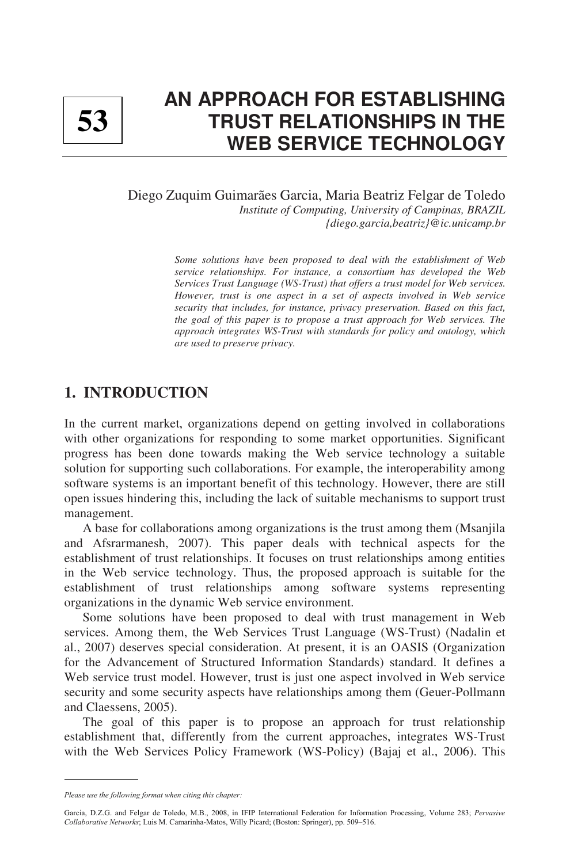**53**

# **AN APPROACH FOR ESTABLISHING TRUST RELATIONSHIPS IN THE WEB SERVICE TECHNOLOGY**

#### Diego Zuquim Guimarães Garcia, Maria Beatriz Felgar de Toledo *Institute of Computing, University of Campinas, BRAZIL {diego.garcia,beatriz}@ic.unicamp.br*

*Some solutions have been proposed to deal with the establishment of Web service relationships. For instance, a consortium has developed the Web Services Trust Language (WS-Trust) that offers a trust model for Web services. However, trust is one aspect in a set of aspects involved in Web service security that includes, for instance, privacy preservation. Based on this fact, the goal of this paper is to propose a trust approach for Web services. The approach integrates WS-Trust with standards for policy and ontology, which are used to preserve privacy.* 

# **1. INTRODUCTION**

In the current market, organizations depend on getting involved in collaborations with other organizations for responding to some market opportunities. Significant progress has been done towards making the Web service technology a suitable solution for supporting such collaborations. For example, the interoperability among software systems is an important benefit of this technology. However, there are still open issues hindering this, including the lack of suitable mechanisms to support trust management.

A base for collaborations among organizations is the trust among them (Msanjila and Afsrarmanesh, 2007). This paper deals with technical aspects for the establishment of trust relationships. It focuses on trust relationships among entities in the Web service technology. Thus, the proposed approach is suitable for the establishment of trust relationships among software systems representing organizations in the dynamic Web service environment.

Some solutions have been proposed to deal with trust management in Web services. Among them, the Web Services Trust Language (WS-Trust) (Nadalin et al., 2007) deserves special consideration. At present, it is an OASIS (Organization for the Advancement of Structured Information Standards) standard. It defines a Web service trust model. However, trust is just one aspect involved in Web service security and some security aspects have relationships among them (Geuer-Pollmann and Claessens, 2005).

The goal of this paper is to propose an approach for trust relationship establishment that, differently from the current approaches, integrates WS-Trust with the Web Services Policy Framework (WS-Policy) (Bajaj et al., 2006). This

*Please use the following format when citing this chapter:* 

Garcia, D.Z.G. and Felgar de Toledo, M.B., 2008, in IFIP International Federation for Information Processing, Volume 283; *Pervasive Collaborative Networks*; Luis M. Camarinha-Matos, Willy Picard; (Boston: Springer), pp. 509–516.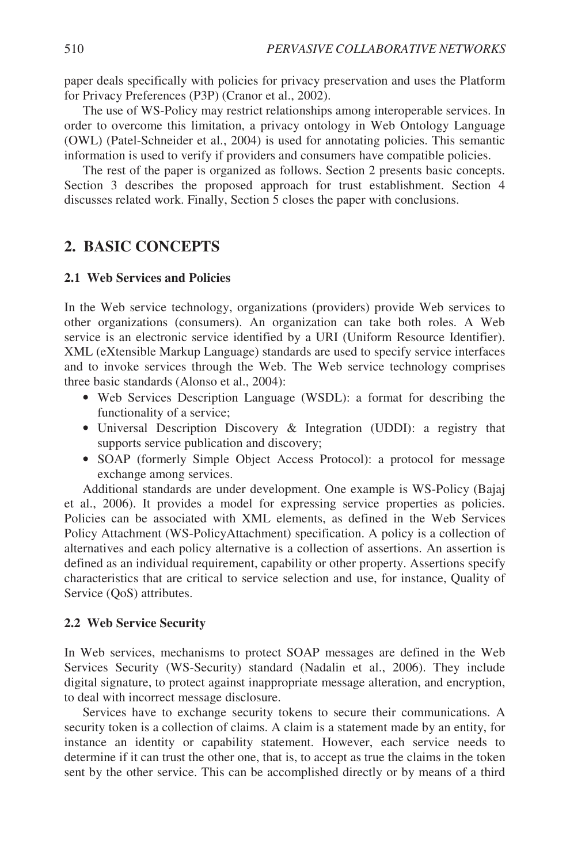paper deals specifically with policies for privacy preservation and uses the Platform for Privacy Preferences (P3P) (Cranor et al., 2002).

The use of WS-Policy may restrict relationships among interoperable services. In order to overcome this limitation, a privacy ontology in Web Ontology Language (OWL) (Patel-Schneider et al., 2004) is used for annotating policies. This semantic information is used to verify if providers and consumers have compatible policies.

The rest of the paper is organized as follows. Section 2 presents basic concepts. Section 3 describes the proposed approach for trust establishment. Section 4 discusses related work. Finally, Section 5 closes the paper with conclusions.

## **2. BASIC CONCEPTS**

#### **2.1 Web Services and Policies**

In the Web service technology, organizations (providers) provide Web services to other organizations (consumers). An organization can take both roles. A Web service is an electronic service identified by a URI (Uniform Resource Identifier). XML (eXtensible Markup Language) standards are used to specify service interfaces and to invoke services through the Web. The Web service technology comprises three basic standards (Alonso et al., 2004):

- Web Services Description Language (WSDL): a format for describing the functionality of a service;
- Universal Description Discovery & Integration (UDDI): a registry that supports service publication and discovery;
- SOAP (formerly Simple Object Access Protocol): a protocol for message exchange among services.

Additional standards are under development. One example is WS-Policy (Bajaj et al., 2006). It provides a model for expressing service properties as policies. Policies can be associated with XML elements, as defined in the Web Services Policy Attachment (WS-PolicyAttachment) specification. A policy is a collection of alternatives and each policy alternative is a collection of assertions. An assertion is defined as an individual requirement, capability or other property. Assertions specify characteristics that are critical to service selection and use, for instance, Quality of Service (QoS) attributes.

#### **2.2 Web Service Security**

In Web services, mechanisms to protect SOAP messages are defined in the Web Services Security (WS-Security) standard (Nadalin et al., 2006). They include digital signature, to protect against inappropriate message alteration, and encryption, to deal with incorrect message disclosure.

Services have to exchange security tokens to secure their communications. A security token is a collection of claims. A claim is a statement made by an entity, for instance an identity or capability statement. However, each service needs to determine if it can trust the other one, that is, to accept as true the claims in the token sent by the other service. This can be accomplished directly or by means of a third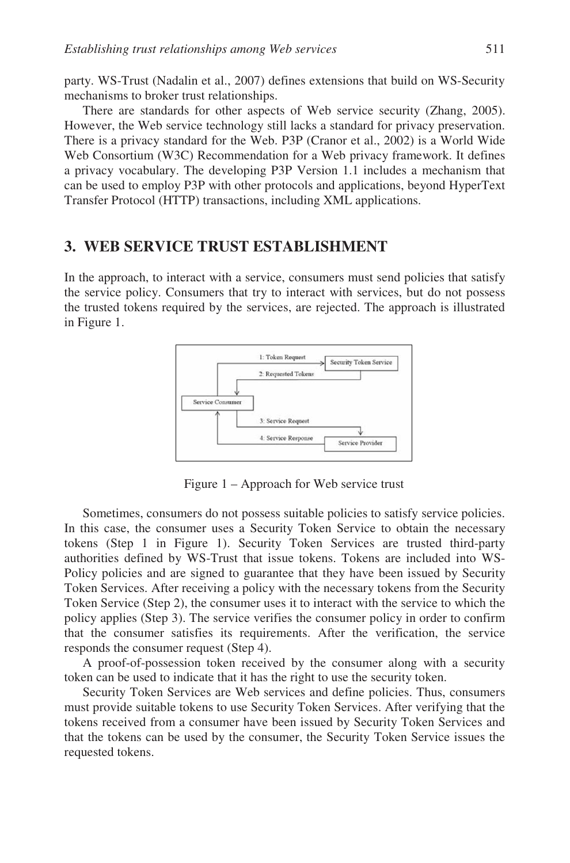party. WS-Trust (Nadalin et al., 2007) defines extensions that build on WS-Security mechanisms to broker trust relationships.

There are standards for other aspects of Web service security (Zhang, 2005). However, the Web service technology still lacks a standard for privacy preservation. There is a privacy standard for the Web. P3P (Cranor et al., 2002) is a World Wide Web Consortium (W3C) Recommendation for a Web privacy framework. It defines a privacy vocabulary. The developing P3P Version 1.1 includes a mechanism that can be used to employ P3P with other protocols and applications, beyond HyperText Transfer Protocol (HTTP) transactions, including XML applications.

#### **3. WEB SERVICE TRUST ESTABLISHMENT**

In the approach, to interact with a service, consumers must send policies that satisfy the service policy. Consumers that try to interact with services, but do not possess the trusted tokens required by the services, are rejected. The approach is illustrated in Figure 1.



Figure 1 – Approach for Web service trust

Sometimes, consumers do not possess suitable policies to satisfy service policies. In this case, the consumer uses a Security Token Service to obtain the necessary tokens (Step 1 in Figure 1). Security Token Services are trusted third-party authorities defined by WS-Trust that issue tokens. Tokens are included into WS-Policy policies and are signed to guarantee that they have been issued by Security Token Services. After receiving a policy with the necessary tokens from the Security Token Service (Step 2), the consumer uses it to interact with the service to which the policy applies (Step 3). The service verifies the consumer policy in order to confirm that the consumer satisfies its requirements. After the verification, the service responds the consumer request (Step 4).

A proof-of-possession token received by the consumer along with a security token can be used to indicate that it has the right to use the security token.

Security Token Services are Web services and define policies. Thus, consumers must provide suitable tokens to use Security Token Services. After verifying that the tokens received from a consumer have been issued by Security Token Services and that the tokens can be used by the consumer, the Security Token Service issues the requested tokens.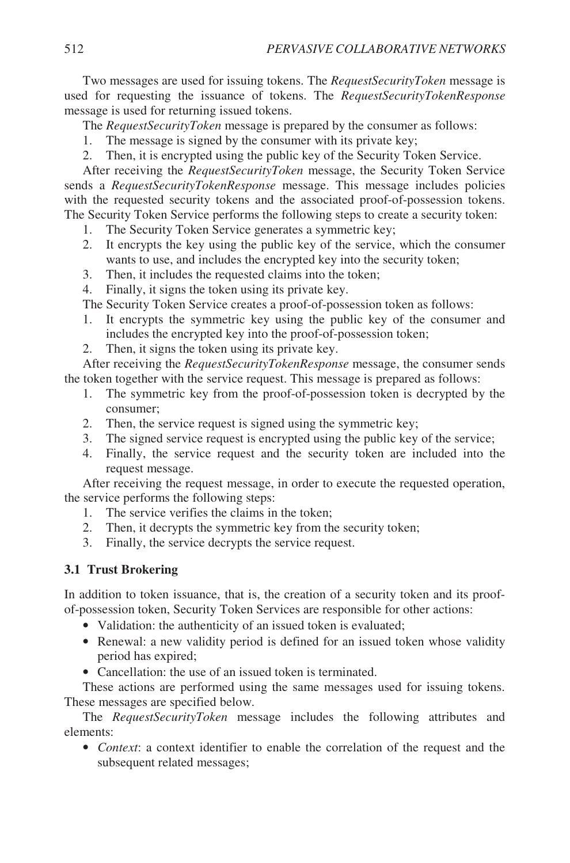Two messages are used for issuing tokens. The *RequestSecurityToken* message is used for requesting the issuance of tokens. The *RequestSecurityTokenResponse* message is used for returning issued tokens.

The *RequestSecurityToken* message is prepared by the consumer as follows:

- 1. The message is signed by the consumer with its private key;
- 2. Then, it is encrypted using the public key of the Security Token Service.

After receiving the *RequestSecurityToken* message, the Security Token Service sends a *RequestSecurityTokenResponse* message. This message includes policies with the requested security tokens and the associated proof-of-possession tokens. The Security Token Service performs the following steps to create a security token:

- 1. The Security Token Service generates a symmetric key;
- 2. It encrypts the key using the public key of the service, which the consumer wants to use, and includes the encrypted key into the security token;
- 3. Then, it includes the requested claims into the token;
- 4. Finally, it signs the token using its private key.

The Security Token Service creates a proof-of-possession token as follows:

- 1. It encrypts the symmetric key using the public key of the consumer and includes the encrypted key into the proof-of-possession token;
- 2. Then, it signs the token using its private key.

After receiving the *RequestSecurityTokenResponse* message, the consumer sends the token together with the service request. This message is prepared as follows:

- 1. The symmetric key from the proof-of-possession token is decrypted by the consumer;
- 2. Then, the service request is signed using the symmetric key;
- 3. The signed service request is encrypted using the public key of the service;
- 4. Finally, the service request and the security token are included into the request message.

After receiving the request message, in order to execute the requested operation, the service performs the following steps:

- 1. The service verifies the claims in the token;
- 2. Then, it decrypts the symmetric key from the security token;
- 3. Finally, the service decrypts the service request.

#### **3.1 Trust Brokering**

In addition to token issuance, that is, the creation of a security token and its proofof-possession token, Security Token Services are responsible for other actions:

- Validation: the authenticity of an issued token is evaluated;
- Renewal: a new validity period is defined for an issued token whose validity period has expired;
- Cancellation: the use of an issued token is terminated.

These actions are performed using the same messages used for issuing tokens. These messages are specified below.

The *RequestSecurityToken* message includes the following attributes and elements:

• *Context*: a context identifier to enable the correlation of the request and the subsequent related messages;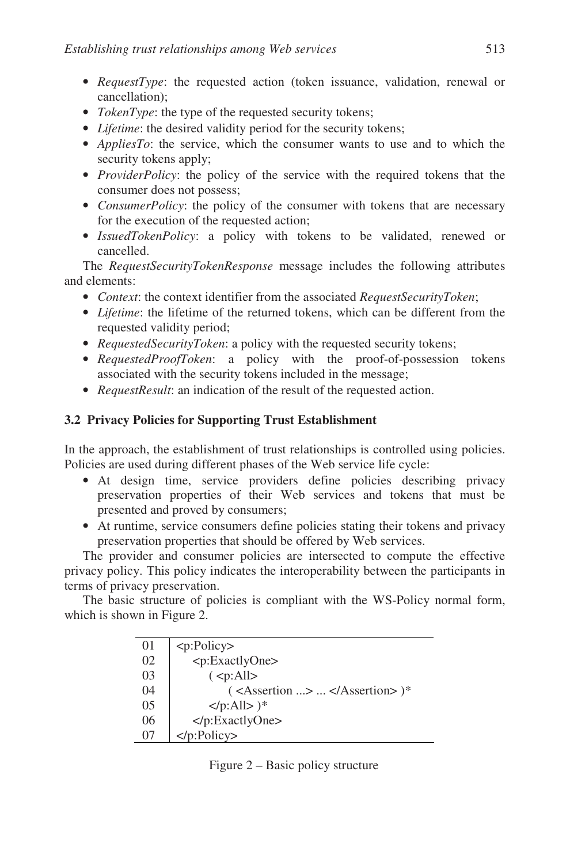- *RequestType*: the requested action (token issuance, validation, renewal or cancellation);
- *TokenType*: the type of the requested security tokens;
- *Lifetime*: the desired validity period for the security tokens;
- *AppliesTo*: the service, which the consumer wants to use and to which the security tokens apply;
- *ProviderPolicy*: the policy of the service with the required tokens that the consumer does not possess;
- *ConsumerPolicy*: the policy of the consumer with tokens that are necessary for the execution of the requested action;
- *IssuedTokenPolicy*: a policy with tokens to be validated, renewed or cancelled.

The *RequestSecurityTokenResponse* message includes the following attributes and elements:

- *Context*: the context identifier from the associated *RequestSecurityToken*;
- *Lifetime*: the lifetime of the returned tokens, which can be different from the requested validity period;
- *RequestedSecurityToken*: a policy with the requested security tokens;
- *RequestedProofToken*: a policy with the proof-of-possession tokens associated with the security tokens included in the message;
- *RequestResult*: an indication of the result of the requested action.

## **3.2 Privacy Policies for Supporting Trust Establishment**

In the approach, the establishment of trust relationships is controlled using policies. Policies are used during different phases of the Web service life cycle:

- At design time, service providers define policies describing privacy preservation properties of their Web services and tokens that must be presented and proved by consumers;
- At runtime, service consumers define policies stating their tokens and privacy preservation properties that should be offered by Web services.

The provider and consumer policies are intersected to compute the effective privacy policy. This policy indicates the interoperability between the participants in terms of privacy preservation.

The basic structure of policies is compliant with the WS-Policy normal form, which is shown in Figure 2.

| 01 | $\langle p:\text{Policy}\rangle$                                                                 |
|----|--------------------------------------------------------------------------------------------------|
| 02 | $<$ p:ExactlyOne>                                                                                |
| 03 | $\epsilon$ <p:all></p:all>                                                                       |
| 04 | $\left( \langle \text{Assertion} \dots \rangle \dots \langle \text{Assertion} \rangle \right)^*$ |
| 05 | $\langle p:All\rangle$ *                                                                         |
| 06 | $\langle p:ExactlyOne \rangle$                                                                   |
| 07 | $\langle p$ :Policy                                                                              |

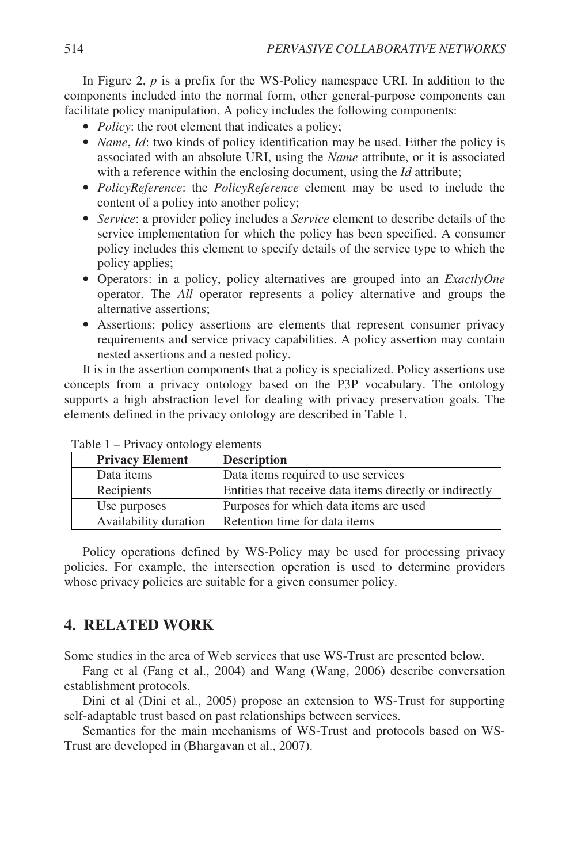In Figure 2, *p* is a prefix for the WS-Policy namespace URI. In addition to the components included into the normal form, other general-purpose components can facilitate policy manipulation. A policy includes the following components:

- *Policy*: the root element that indicates a policy;
- *Name*, *Id*: two kinds of policy identification may be used. Either the policy is associated with an absolute URI, using the *Name* attribute, or it is associated with a reference within the enclosing document, using the *Id* attribute;
- *PolicyReference*: the *PolicyReference* element may be used to include the content of a policy into another policy;
- *Service*: a provider policy includes a *Service* element to describe details of the service implementation for which the policy has been specified. A consumer policy includes this element to specify details of the service type to which the policy applies;
- Operators: in a policy, policy alternatives are grouped into an *ExactlyOne* operator. The *All* operator represents a policy alternative and groups the alternative assertions;
- Assertions: policy assertions are elements that represent consumer privacy requirements and service privacy capabilities. A policy assertion may contain nested assertions and a nested policy.

It is in the assertion components that a policy is specialized. Policy assertions use concepts from a privacy ontology based on the P3P vocabulary. The ontology supports a high abstraction level for dealing with privacy preservation goals. The elements defined in the privacy ontology are described in Table 1.

| <b>Privacy Element</b> | <b>Description</b>                                      |
|------------------------|---------------------------------------------------------|
| Data items             | Data items required to use services                     |
| Recipients             | Entities that receive data items directly or indirectly |
| Use purposes           | Purposes for which data items are used                  |
| Availability duration  | Retention time for data items                           |

Table 1 – Privacy ontology elements

Policy operations defined by WS-Policy may be used for processing privacy policies. For example, the intersection operation is used to determine providers whose privacy policies are suitable for a given consumer policy.

# **4. RELATED WORK**

Some studies in the area of Web services that use WS-Trust are presented below.

Fang et al (Fang et al., 2004) and Wang (Wang, 2006) describe conversation establishment protocols.

Dini et al (Dini et al., 2005) propose an extension to WS-Trust for supporting self-adaptable trust based on past relationships between services.

Semantics for the main mechanisms of WS-Trust and protocols based on WS-Trust are developed in (Bhargavan et al., 2007).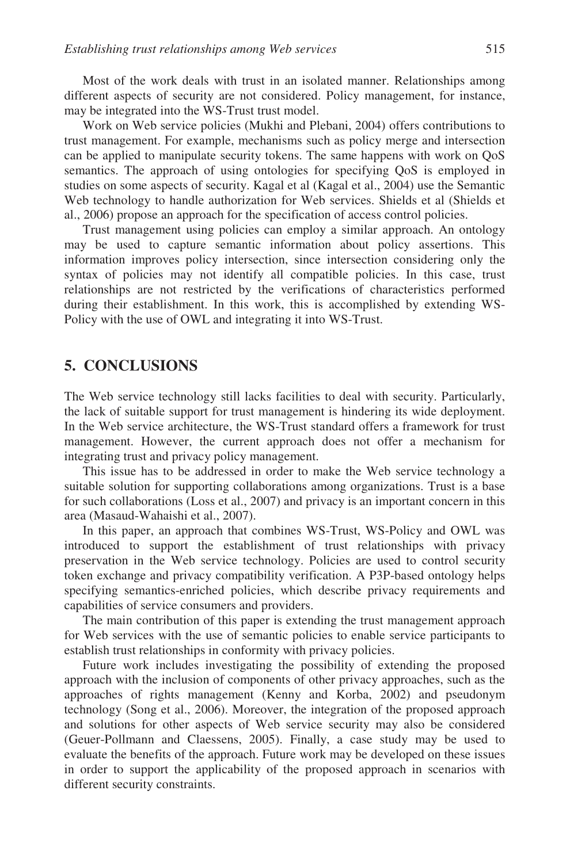Most of the work deals with trust in an isolated manner. Relationships among different aspects of security are not considered. Policy management, for instance, may be integrated into the WS-Trust trust model.

Work on Web service policies (Mukhi and Plebani, 2004) offers contributions to trust management. For example, mechanisms such as policy merge and intersection can be applied to manipulate security tokens. The same happens with work on QoS semantics. The approach of using ontologies for specifying QoS is employed in studies on some aspects of security. Kagal et al (Kagal et al., 2004) use the Semantic Web technology to handle authorization for Web services. Shields et al (Shields et al., 2006) propose an approach for the specification of access control policies.

Trust management using policies can employ a similar approach. An ontology may be used to capture semantic information about policy assertions. This information improves policy intersection, since intersection considering only the syntax of policies may not identify all compatible policies. In this case, trust relationships are not restricted by the verifications of characteristics performed during their establishment. In this work, this is accomplished by extending WS-Policy with the use of OWL and integrating it into WS-Trust.

### **5. CONCLUSIONS**

The Web service technology still lacks facilities to deal with security. Particularly, the lack of suitable support for trust management is hindering its wide deployment. In the Web service architecture, the WS-Trust standard offers a framework for trust management. However, the current approach does not offer a mechanism for integrating trust and privacy policy management.

This issue has to be addressed in order to make the Web service technology a suitable solution for supporting collaborations among organizations. Trust is a base for such collaborations (Loss et al., 2007) and privacy is an important concern in this area (Masaud-Wahaishi et al., 2007).

In this paper, an approach that combines WS-Trust, WS-Policy and OWL was introduced to support the establishment of trust relationships with privacy preservation in the Web service technology. Policies are used to control security token exchange and privacy compatibility verification. A P3P-based ontology helps specifying semantics-enriched policies, which describe privacy requirements and capabilities of service consumers and providers.

The main contribution of this paper is extending the trust management approach for Web services with the use of semantic policies to enable service participants to establish trust relationships in conformity with privacy policies.

Future work includes investigating the possibility of extending the proposed approach with the inclusion of components of other privacy approaches, such as the approaches of rights management (Kenny and Korba, 2002) and pseudonym technology (Song et al., 2006). Moreover, the integration of the proposed approach and solutions for other aspects of Web service security may also be considered (Geuer-Pollmann and Claessens, 2005). Finally, a case study may be used to evaluate the benefits of the approach. Future work may be developed on these issues in order to support the applicability of the proposed approach in scenarios with different security constraints.